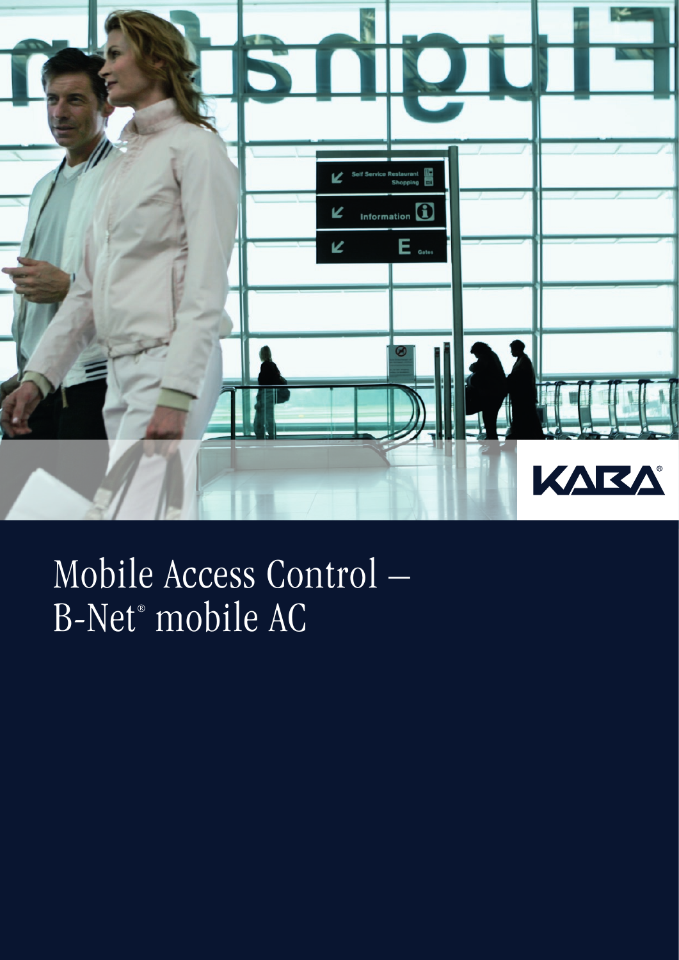

## Mobile Access Control – B-Net® mobile AC